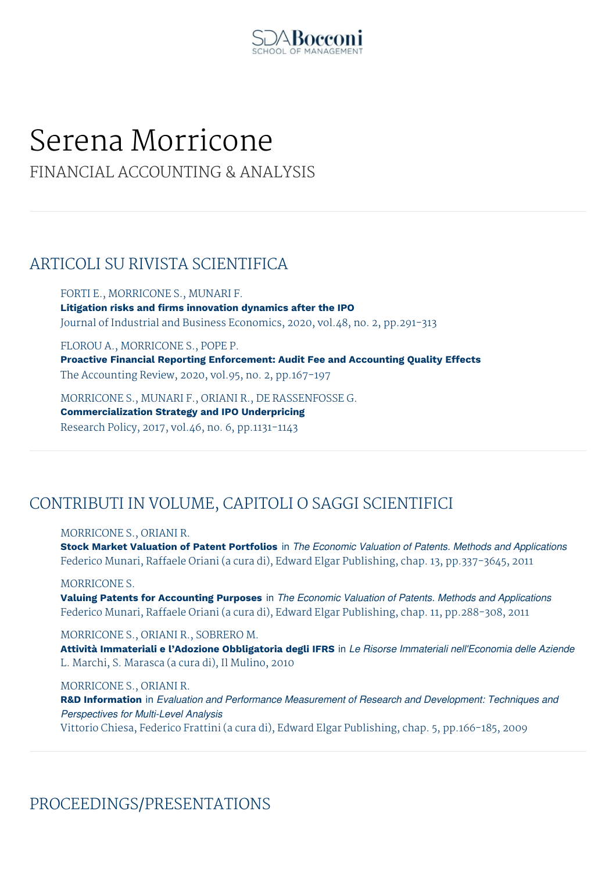

# Serena Morricone

## FINANCIAL ACCOUNTING & ANALYSIS

## ARTICOLI SU RIVISTA SCIENTIFICA

FORTI E., MORRICONE S., MUNARI F. **Litigation risks and firms innovation dynamics after the IPO** Journal of Industrial and Business Economics, 2020, vol.48, no. 2, pp.291-313

FLOROU A., MORRICONE S., POPE P. **Proactive Financial Reporting Enforcement: Audit Fee and Accounting Quality Effects** The Accounting Review, 2020, vol.95, no. 2, pp.167-197

MORRICONE S., MUNARI F., ORIANI R., DE RASSENFOSSE G. **Commercialization Strategy and IPO Underpricing** Research Policy, 2017, vol.46, no. 6, pp.1131-1143

# CONTRIBUTI IN VOLUME, CAPITOLI O SAGGI SCIENTIFICI

MORRICONE S., ORIANI R.

**Stock Market Valuation of Patent Portfolios** in *The Economic Valuation of Patents. Methods and Applications* Federico Munari, Raffaele Oriani (a cura di), Edward Elgar Publishing, chap. 13, pp.337-3645, 2011

MORRICONE S.

**Valuing Patents for Accounting Purposes** in *The Economic Valuation of Patents. Methods and Applications* Federico Munari, Raffaele Oriani (a cura di), Edward Elgar Publishing, chap. 11, pp.288-308, 2011

### MORRICONE S., ORIANI R., SOBRERO M.

**Attività Immateriali e l'Adozione Obbligatoria degli IFRS** in *Le Risorse Immateriali nell'Economia delle Aziende* L. Marchi, S. Marasca (a cura di), Il Mulino, 2010

MORRICONE S., ORIANI R.

**R&D Information** in *Evaluation and Performance Measurement of Research and Development: Techniques and Perspectives for Multi-Level Analysis* Vittorio Chiesa, Federico Frattini (a cura di), Edward Elgar Publishing, chap. 5, pp.166-185, 2009

PROCEEDINGS/PRESENTATIONS